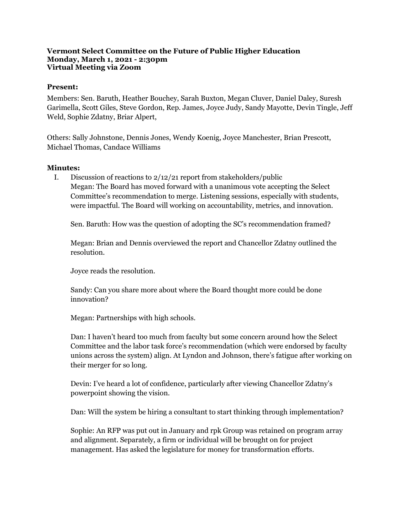## **Vermont Select Committee on the Future of Public Higher Education Monday, March 1, 2021 - 2:30pm Virtual Meeting via Zoom**

## **Present:**

Members: Sen. Baruth, Heather Bouchey, Sarah Buxton, Megan Cluver, Daniel Daley, Suresh Garimella, Scott Giles, Steve Gordon, Rep. James, Joyce Judy, Sandy Mayotte, Devin Tingle, Jeff Weld, Sophie Zdatny, Briar Alpert,

Others: Sally Johnstone, Dennis Jones, Wendy Koenig, Joyce Manchester, Brian Prescott, Michael Thomas, Candace Williams

## **Minutes:**

I. Discussion of reactions to 2/12/21 report from stakeholders/public Megan: The Board has moved forward with a unanimous vote accepting the Select Committee's recommendation to merge. Listening sessions, especially with students, were impactful. The Board will working on accountability, metrics, and innovation.

Sen. Baruth: How was the question of adopting the SC's recommendation framed?

Megan: Brian and Dennis overviewed the report and Chancellor Zdatny outlined the resolution.

Joyce reads the resolution.

Sandy: Can you share more about where the Board thought more could be done innovation?

Megan: Partnerships with high schools.

Dan: I haven't heard too much from faculty but some concern around how the Select Committee and the labor task force's recommendation (which were endorsed by faculty unions across the system) align. At Lyndon and Johnson, there's fatigue after working on their merger for so long.

Devin: I've heard a lot of confidence, particularly after viewing Chancellor Zdatny's powerpoint showing the vision.

Dan: Will the system be hiring a consultant to start thinking through implementation?

Sophie: An RFP was put out in January and rpk Group was retained on program array and alignment. Separately, a firm or individual will be brought on for project management. Has asked the legislature for money for transformation efforts.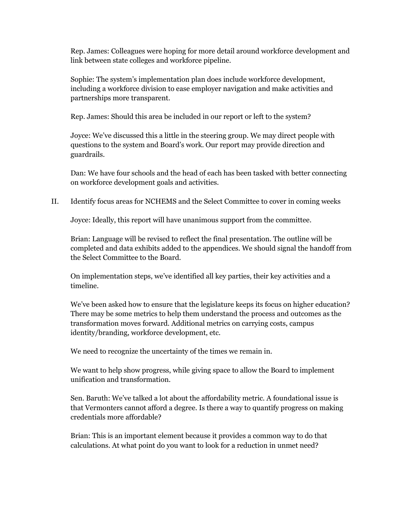Rep. James: Colleagues were hoping for more detail around workforce development and link between state colleges and workforce pipeline.

Sophie: The system's implementation plan does include workforce development, including a workforce division to ease employer navigation and make activities and partnerships more transparent.

Rep. James: Should this area be included in our report or left to the system?

Joyce: We've discussed this a little in the steering group. We may direct people with questions to the system and Board's work. Our report may provide direction and guardrails.

Dan: We have four schools and the head of each has been tasked with better connecting on workforce development goals and activities.

II. Identify focus areas for NCHEMS and the Select Committee to cover in coming weeks

Joyce: Ideally, this report will have unanimous support from the committee.

Brian: Language will be revised to reflect the final presentation. The outline will be completed and data exhibits added to the appendices. We should signal the handoff from the Select Committee to the Board.

On implementation steps, we've identified all key parties, their key activities and a timeline.

We've been asked how to ensure that the legislature keeps its focus on higher education? There may be some metrics to help them understand the process and outcomes as the transformation moves forward. Additional metrics on carrying costs, campus identity/branding, workforce development, etc.

We need to recognize the uncertainty of the times we remain in.

We want to help show progress, while giving space to allow the Board to implement unification and transformation.

Sen. Baruth: We've talked a lot about the affordability metric. A foundational issue is that Vermonters cannot afford a degree. Is there a way to quantify progress on making credentials more affordable?

Brian: This is an important element because it provides a common way to do that calculations. At what point do you want to look for a reduction in unmet need?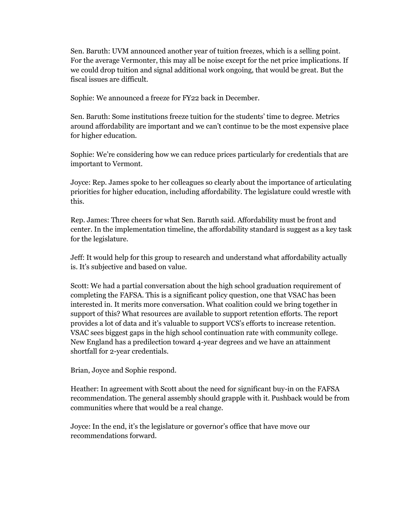Sen. Baruth: UVM announced another year of tuition freezes, which is a selling point. For the average Vermonter, this may all be noise except for the net price implications. If we could drop tuition and signal additional work ongoing, that would be great. But the fiscal issues are difficult.

Sophie: We announced a freeze for FY22 back in December.

Sen. Baruth: Some institutions freeze tuition for the students' time to degree. Metrics around affordability are important and we can't continue to be the most expensive place for higher education.

Sophie: We're considering how we can reduce prices particularly for credentials that are important to Vermont.

Joyce: Rep. James spoke to her colleagues so clearly about the importance of articulating priorities for higher education, including affordability. The legislature could wrestle with this.

Rep. James: Three cheers for what Sen. Baruth said. Affordability must be front and center. In the implementation timeline, the affordability standard is suggest as a key task for the legislature.

Jeff: It would help for this group to research and understand what affordability actually is. It's subjective and based on value.

Scott: We had a partial conversation about the high school graduation requirement of completing the FAFSA. This is a significant policy question, one that VSAC has been interested in. It merits more conversation. What coalition could we bring together in support of this? What resources are available to support retention efforts. The report provides a lot of data and it's valuable to support VCS's efforts to increase retention. VSAC sees biggest gaps in the high school continuation rate with community college. New England has a predilection toward 4-year degrees and we have an attainment shortfall for 2-year credentials.

Brian, Joyce and Sophie respond.

Heather: In agreement with Scott about the need for significant buy-in on the FAFSA recommendation. The general assembly should grapple with it. Pushback would be from communities where that would be a real change.

Joyce: In the end, it's the legislature or governor's office that have move our recommendations forward.